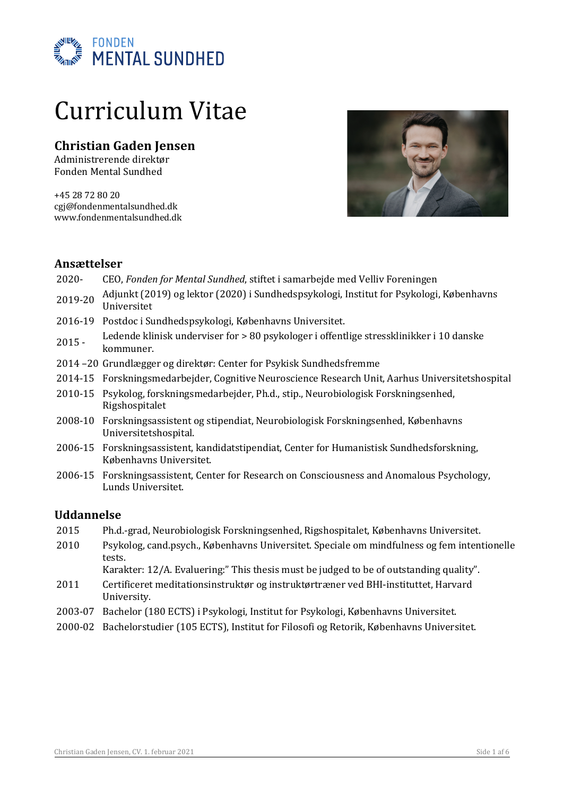

# Curriculum Vitae

# **Christian Gaden Jensen**

Administrerende direktør Fonden Mental Sundhed

+45 28 72 80 20 cgj@fondenmentalsundhed.dk www.fondenmentalsundhed.dk



## **Ansættelser**

- 2020- CEO, *Fonden for Mental Sundhed*, stiftet i samarbejde med Velliv Foreningen
- 2019-20 Adjunkt (2019) og lektor (2020) i Sundhedspsykologi, Institut for Psykologi, Københavns Universitet
- 2016-19 Postdoc i Sundhedspsykologi, Københavns Universitet.
- 2015 Ledende klinisk underviser for > 80 psykologer i offentlige stressklinikker i 10 danske kommuner.
- 2014 -20 Grundlægger og direktør: Center for Psykisk Sundhedsfremme
- 2014-15 Forskningsmedarbejder, Cognitive Neuroscience Research Unit, Aarhus Universitetshospital
- 2010-15 Psykolog, forskningsmedarbejder, Ph.d., stip., Neurobiologisk Forskningsenhed, Rigshospitalet
- 2008-10 Forskningsassistent og stipendiat, Neurobiologisk Forskningsenhed, Københavns Universitetshospital.
- 2006-15 Forskningsassistent, kandidatstipendiat, Center for Humanistisk Sundhedsforskning, Københavns Universitet.
- 2006-15 Forskningsassistent, Center for Research on Consciousness and Anomalous Psychology, Lunds Universitet.

## **Uddannelse**

- 2015 Ph.d.-grad, Neurobiologisk Forskningsenhed, Rigshospitalet, Københavns Universitet.
- 2010 Psykolog, cand.psych., Københavns Universitet. Speciale om mindfulness og fem intentionelle tests.

Karakter:  $12/A$ . Evaluering:" This thesis must be judged to be of outstanding quality".

- 2011 Certificeret meditationsinstruktør og instruktørtræner ved BHI-instituttet, Harvard University.
- 2003-07 Bachelor (180 ECTS) i Psykologi, Institut for Psykologi, Københavns Universitet.
- 2000-02 Bachelorstudier (105 ECTS), Institut for Filosofi og Retorik, Københavns Universitet.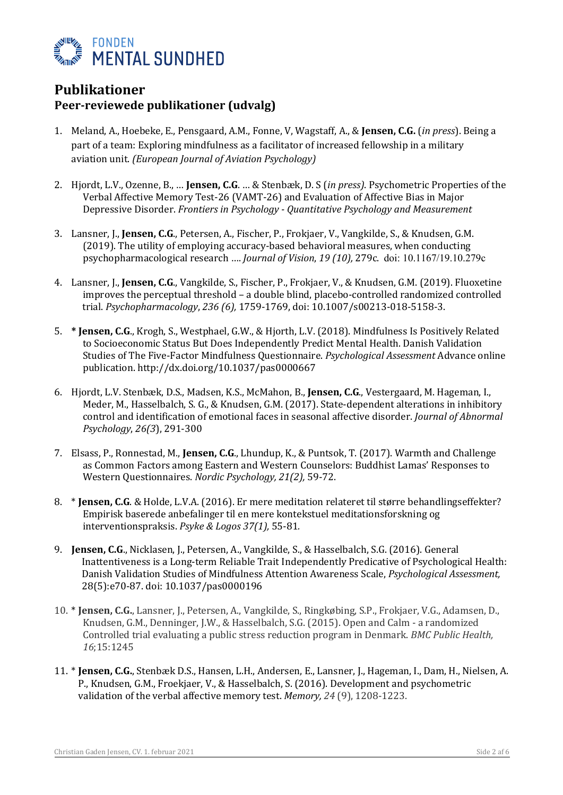

## **Publikationer Peer-reviewede publikationer (udvalg)**

- 1. Meland, A., Hoebeke, E., Pensgaard, A.M., Fonne, V, Wagstaff, A., & **Jensen, C.G.** (*in press*). Being a part of a team: Exploring mindfulness as a facilitator of increased fellowship in a military aviation unit. *(European Journal of Aviation Psychology)*
- 2. Hjordt, L.V., Ozenne, B., ... **Jensen, C.G.** ... & Stenbæk, D. S (*in press*). Psychometric Properties of the Verbal Affective Memory Test-26 (VAMT-26) and Evaluation of Affective Bias in Major Depressive Disorder. *Frontiers in Psychology - Quantitative Psychology and Measurement*
- 3. Lansner, J., **Jensen, C.G.**, Petersen, A., Fischer, P., Frokjaer, V., Vangkilde, S., & Knudsen, G.M.  $(2019)$ . The utility of employing accuracy-based behavioral measures, when conducting psychopharmacological research .... *Journal of Vision*, 19 (10), 279c. doi: 10.1167/19.10.279c
- 4. Lansner, J., **Jensen, C.G.**, Vangkilde, S., Fischer, P., Frokjaer, V., & Knudsen, G.M. (2019). Fluoxetine improves the perceptual threshold – a double blind, placebo-controlled randomized controlled trial. *Psychopharmacology*, *236 (6),* 1759-1769, doi: 10.1007/s00213-018-5158-3.
- 5. **\* Jensen, C.G.**, Krogh, S., Westphael, G.W., & Hjorth, L.V. (2018). Mindfulness Is Positively Related to Socioeconomic Status But Does Independently Predict Mental Health. Danish Validation Studies of The Five-Factor Mindfulness Questionnaire. *Psychological Assessment* Advance online publication. http://dx.doi.org/10.1037/pas0000667
- 6. Hjordt, L.V. Stenbæk, D.S., Madsen, K.S., McMahon, B., Jensen, C.G., Vestergaard, M. Hageman, I., Meder, M., Hasselbalch, S. G., & Knudsen, G.M. (2017). State-dependent alterations in inhibitory control and identification of emotional faces in seasonal affective disorder. *Journal of Abnormal Psychology*, *26(3*), 291-300
- 7. Elsass, P., Ronnestad, M., **Jensen, C.G.**, Lhundup, K., & Puntsok, T. (2017). Warmth and Challenge as Common Factors among Eastern and Western Counselors: Buddhist Lamas' Responses to Western Questionnaires. *Nordic Psychology, 21(2)*, 59-72.
- 8. \* **Jensen, C.G.** & Holde, L.V.A. (2016). Er mere meditation relateret til større behandlingseffekter? Empirisk baserede anbefalinger til en mere kontekstuel meditationsforskning og interventionspraksis. Psyke & Logos 37(1), 55-81.
- 9. **Jensen, C.G.**, Nicklasen, J., Petersen, A., Vangkilde, S., & Hasselbalch, S.G. (2016). General Inattentiveness is a Long-term Reliable Trait Independently Predicative of Psychological Health: Danish Validation Studies of Mindfulness Attention Awareness Scale, *Psychological Assessment*, 28(5):e70-87. doi: 10.1037/pas0000196
- 10. \* **Jensen, C.G.**, Lansner, J., Petersen, A., Vangkilde, S., Ringkøbing, S.P., Frokjaer, V.G., Adamsen, D., Knudsen, G.M., Denninger, J.W., & Hasselbalch, S.G. (2015). Open and Calm - a randomized Controlled trial evaluating a public stress reduction program in Denmark. *BMC Public Health*,  *16*;15:1245
- 11. \* **Jensen, C.G.**, Stenbæk D.S., Hansen, L.H., Andersen, E., Lansner, J., Hageman, I., Dam, H., Nielsen, A. P., Knudsen, G.M., Froekjaer, V., & Hasselbalch, S. (2016). Development and psychometric validation of the verbal affective memory test. Memory, 24 (9), 1208-1223.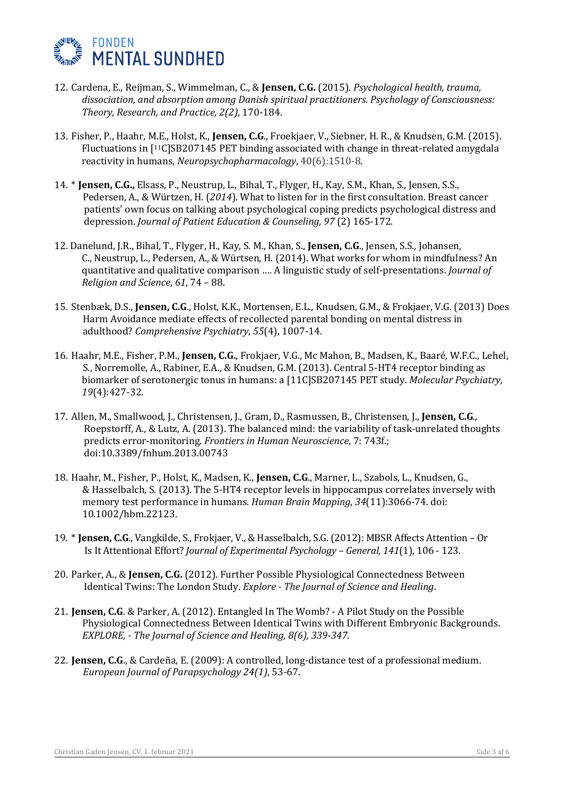

- 12. Cardena, E., Reijman, S., Wimmelman, C., & Jensen, C.G. (2015). *Psychological health, trauma,* dissociation, and absorption among Danish spiritual practitioners. Psychology of Consciousness: *Theory, Research, and Practice, 2(2), 170-184.*
- 13. Fisher, P., Haahr, M.E., Holst, K., **Jensen, C.G.**, Froekjaer, V., Siebner, H. R., & Knudsen, G.M. (2015). Fluctuations in  $[11C]$ SB207145 PET binding associated with change in threat-related amygdala reactivity in humans, *Neuropsychopharmacology*, 40(6):1510-8.
- 14. \* **Jensen, C.G.,** Elsass, P., Neustrup, L., Bihal, T., Flyger, H., Kay, S.M., Khan, S., Jensen, S.S., Pedersen, A., & Würtzen, H. (2014). What to listen for in the first consultation. Breast cancer patients' own focus on talking about psychological coping predicts psychological distress and depression. *Journal of Patient Education & Counseling, 97* (2) 165-172.
- 12. Danelund, J.R., Bihal, T., Flyger, H., Kay, S. M., Khan, S., **Jensen, C.G.**, Jensen, S.S., Johansen, C., Neustrup, L., Pedersen, A., & Würtsen, H. (2014). What works for whom in mindfulness? An quantitative and qualitative comparison .... A linguistic study of self-presentations. *Journal of Religion and Science*, *61*, 74 – 88.
- 15. Stenbæk, D.S., **Jensen, C.G.**, Holst, K.K., Mortensen, E.L., Knudsen, G.M., & Frokjaer, V.G. (2013) Does Harm Avoidance mediate effects of recollected parental bonding on mental distress in adulthood? *Comprehensive Psychiatry*, *55*(4), 1007-14.
- 16. Haahr, M.E., Fisher, P.M., **Jensen, C.G.**, Frokjaer, V.G., Mc Mahon, B., Madsen, K., Baaré, W.F.C., Lehel, S., Norremolle, A., Rabiner, E.A., & Knudsen, G.M. (2013). Central 5-HT4 receptor binding as biomarker of serotonergic tonus in humans: a [11C]SB207145 PET study. *Molecular Psychiatry*,  *19*(4):427-32.
- 17. Allen, M., Smallwood, J., Christensen, J., Gram, D., Rasmussen, B., Christensen, J., Jensen, C.G., Roepstorff, A., & Lutz, A. (2013). The balanced mind: the variability of task-unrelated thoughts predicts error-monitoring. *Frontiers in Human Neuroscience*, 7: 743f.; doi:10.3389/fnhum.2013.00743
- 18. Haahr, M., Fisher, P., Holst, K., Madsen, K., **Jensen, C.G.**, Marner, L., Szabols, L., Knudsen, G., & Hasselbalch, S. (2013). The 5-HT4 receptor levels in hippocampus correlates inversely with memory test performance in humans. *Human Brain Mapping*, 34(11):3066-74. doi: 10.1002/hbm.22123.
- 19. \* **Jensen, C.G.**, Vangkilde, S., Frokjaer, V., & Hasselbalch, S.G. (2012): MBSR Affects Attention Or Is It Attentional Effort? *Journal of Experimental Psychology - General,* 141(1), 106 - 123.
- 20. Parker, A., & **Jensen, C.G.** (2012). Further Possible Physiological Connectedness Between Identical Twins: The London Study. *Explore - The Journal of Science and Healing*.
- 21. **Jensen, C.G.** & Parker, A. (2012). Entangled In The Womb? A Pilot Study on the Possible Physiological Connectedness Between Identical Twins with Different Embryonic Backgrounds. *EXPLORE,* - *The Journal of Science and Healing, 8(6), 339-347.*
- 22. **Jensen, C.G.**, & Cardeña, E. (2009): A controlled, long-distance test of a professional medium.  *European Journal of Parapsychology 24(1)*, 53-67.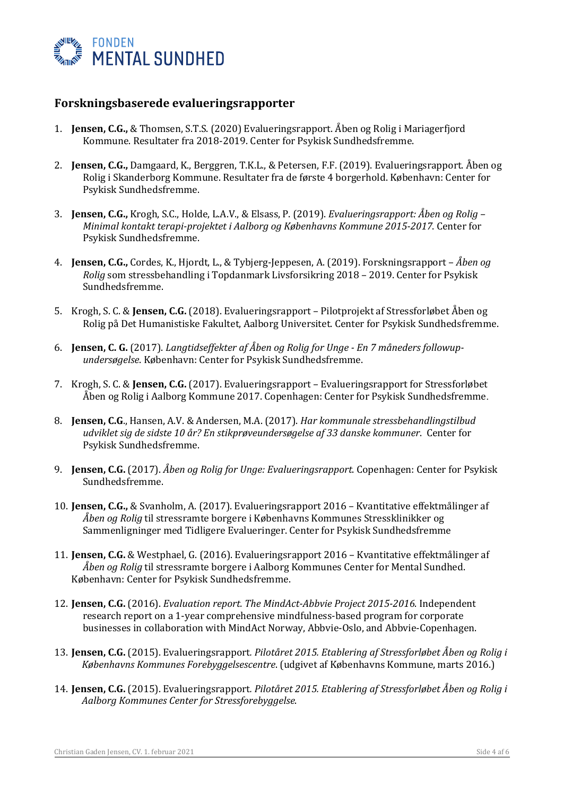

## **Forskningsbaserede evalueringsrapporter**

- 1. **Jensen, C.G.,** & Thomsen, S.T.S. (2020) Evalueringsrapport. Åben og Rolig i Mariagerfjord Kommune. Resultater fra 2018-2019. Center for Psykisk Sundhedsfremme.
- 2. **Jensen, C.G.,** Damgaard, K., Berggren, T.K.L., & Petersen, F.F. (2019). Evalueringsrapport. Åben og Rolig i Skanderborg Kommune. Resultater fra de første 4 borgerhold. København: Center for Psykisk Sundhedsfremme.
- 3. **Jensen, C.G.,** Krogh, S.C., Holde, L.A.V., & Elsass, P. (2019). *Evalueringsrapport: Åben og Rolig Minimal kontakt terapi-projektet i Aalborg og Københavns Kommune 2015-2017*. Center for Psykisk Sundhedsfremme.
- 4. **Jensen, C.G.,** Cordes, K., Hjordt, L., & Tybjerg-Jeppesen, A. (2019). Forskningsrapport *Åben og Rolig* som stressbehandling i Topdanmark Livsforsikring 2018 – 2019. Center for Psykisk Sundhedsfremme.
- 5. Krogh, S. C. & **Jensen, C.G.** (2018). Evalueringsrapport Pilotprojekt af Stressforløbet Åben og Rolig på Det Humanistiske Fakultet, Aalborg Universitet. Center for Psykisk Sundhedsfremme.
- 6. **Jensen, C. G.** (2017). *Langtidseffekter af Åben og Rolig for Unge En 7 måneders followup-<u>undersøgelse</u>*. København: Center for Psykisk Sundhedsfremme.
- 7. Krogh, S. C. & **Jensen, C.G.** (2017). Evalueringsrapport Evalueringsrapport for Stressforløbet Åben og Rolig i Aalborg Kommune 2017. Copenhagen: Center for Psykisk Sundhedsfremme.
- 8. **Jensen, C.G.**, Hansen, A.V. & Andersen, M.A. (2017). *Har kommunale stressbehandlingstilbud* udviklet sig de sidste 10 år? En stikprøveundersøgelse af 33 danske kommuner. Center for Psykisk Sundhedsfremme.
- 9. **Jensen, C.G.** (2017). Åben og Rolig for Unge: Evalueringsrapport. Copenhagen: Center for Psykisk Sundhedsfremme.
- 10. **Jensen, C.G.,** & Svanholm, A. (2017). Evalueringsrapport 2016 Kvantitative effektmålinger af Åben og Rolig til stressramte borgere i Københavns Kommunes Stressklinikker og Sammenligninger med Tidligere Evalueringer. Center for Psykisk Sundhedsfremme
- 11. **Jensen, C.G.** & Westphael, G. (2016). Evalueringsrapport 2016 Kvantitative effektmålinger af *Åben og Rolig* til stressramte borgere i Aalborg Kommunes Center for Mental Sundhed. København: Center for Psykisk Sundhedsfremme.
- 12. **Jensen, C.G.** (2016). *Evaluation report. The MindAct-Abbvie Project 2015-2016*. Independent research report on a 1-year comprehensive mindfulness-based program for corporate businesses in collaboration with MindAct Norway, Abbvie-Oslo, and Abbvie-Copenhagen.
- 13. **Jensen, C.G.** (2015). Evalueringsrapport. *Pilotåret 2015. Etablering af Stressforløbet Åben og Rolig i Københavns Kommunes Forebyggelsescentre.* (udgivet af Københavns Kommune, marts 2016.)
- 14. **Jensen, C.G.** (2015). Evalueringsrapport. *Pilotåret 2015. Etablering af Stressforløbet Åben og Rolig i* Aalborg Kommunes Center for Stressforebyggelse.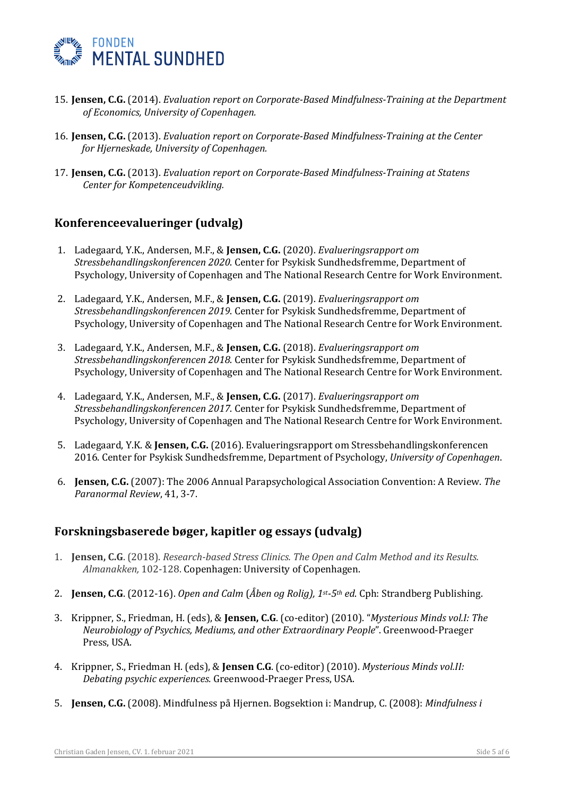

- 15. **Jensen, C.G.** (2014). *Evaluation report on Corporate-Based Mindfulness-Training at the Department* *of Economics, University of Copenhagen.*
- 16. **Jensen, C.G.** (2013). *Evaluation report on Corporate-Based Mindfulness-Training at the Center* for Hjerneskade, University of Copenhagen.
- 17. **Jensen, C.G.** (2013). *Evaluation report on Corporate-Based Mindfulness-Training at Statens Center for Kompetenceudvikling.*

## **Konferenceevalueringer (udvalg)**

- 1. Ladegaard, Y.K., Andersen, M.F., & **Jensen, C.G.** (2020). *Evalueringsrapport om Stressbehandlingskonferencen 2020*. Center for Psykisk Sundhedsfremme, Department of Psychology, University of Copenhagen and The National Research Centre for Work Environment.
- 2. Ladegaard, Y.K., Andersen, M.F., & **Jensen, C.G.** (2019). *Evalueringsrapport om Stressbehandlingskonferencen 2019*. Center for Psykisk Sundhedsfremme, Department of Psychology, University of Copenhagen and The National Research Centre for Work Environment.
- 3. Ladegaard, Y.K., Andersen, M.F., & **Jensen, C.G.** (2018). *Evalueringsrapport om Stressbehandlingskonferencen 2018*. Center for Psykisk Sundhedsfremme, Department of Psychology, University of Copenhagen and The National Research Centre for Work Environment.
- 4. Ladegaard, Y.K., Andersen, M.F., & **Jensen, C.G.** (2017). *Evalueringsrapport om Stressbehandlingskonferencen 2017*. Center for Psykisk Sundhedsfremme, Department of Psychology, University of Copenhagen and The National Research Centre for Work Environment.
- 5. Ladegaard, Y.K. & **Jensen, C.G.** (2016). Evalueringsrapport om Stressbehandlingskonferencen 2016. Center for Psykisk Sundhedsfremme, Department of Psychology, University of Copenhagen.
- 6. **Jensen, C.G.** (2007): The 2006 Annual Parapsychological Association Convention: A Review. The *Paranormal Review*, 41, 3-7.

## Forskningsbaserede bøger, kapitler og essays (udvalg)

- 1. **Jensen, C.G**. (2018). *Research-based Stress Clinics. The Open and Calm Method and its Results.* Almanakken, 102-128. Copenhagen: University of Copenhagen.
- 2. **Jensen, C.G.** (2012-16). *Open and Calm (Åben og Rolig), 1st-5th ed*. Cph: Strandberg Publishing.
- 3. Krippner, S., Friedman, H. (eds), & Jensen, C.G. (co-editor) (2010). "Mysterious Minds vol.I: The *Neurobiology of Psychics, Mediums, and other Extraordinary People"*. Greenwood-Praeger Press, USA.
- 4. Krippner, S., Friedman H. (eds), & **Jensen C.G.** (co-editor) (2010). *Mysterious Minds vol.II: Debating psychic experiences.* Greenwood-Praeger Press, USA.
- 5. **Jensen, C.G.** (2008). Mindfulness på Hjernen. Bogsektion i: Mandrup, C. (2008): *Mindfulness i*